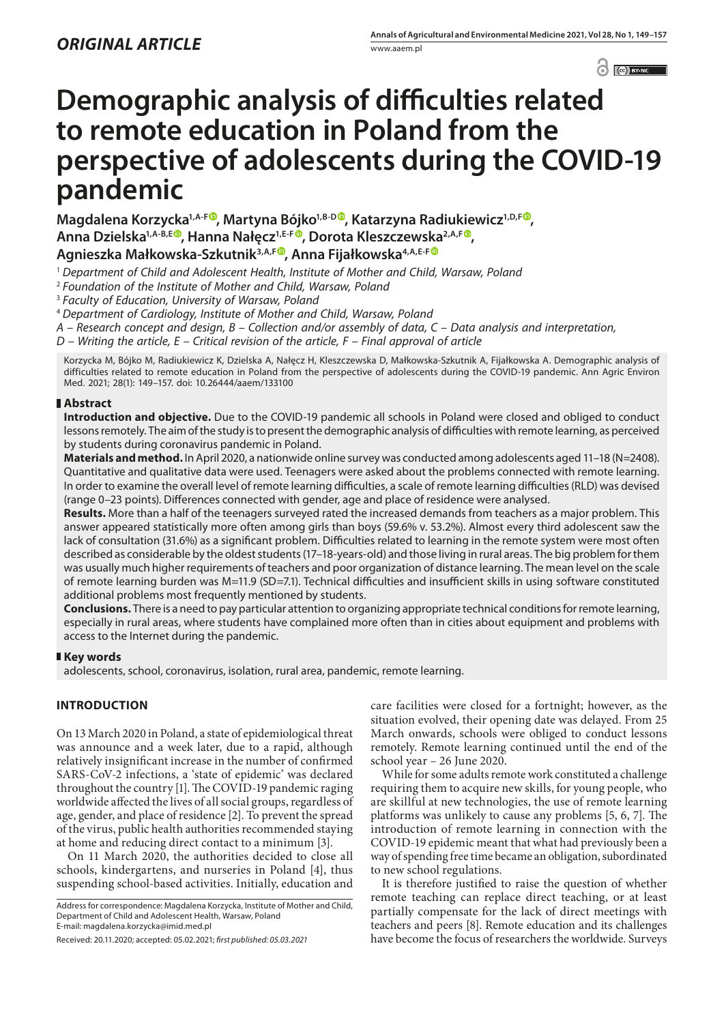$\odot$   $\odot$   $BY-NC$ 

# **Demographic analysis of difficulties related to remote education in Poland from the perspective of adolescents during the COVID-19 pandemic**

**Magdalena Korzycka<sup>1,A-[F](https://orcid.org/0000-0003-2474-1703)®</sup>, Martyna Bójko<sup>1,B-D®</sup>, Katarzyna Radiukiewicz<sup>1,D,F®</sup>, Anna Dzielska1,A-B,E , Hanna Nałęcz1,E-F [,](https://orcid.org/0000-0003-0384-6469) Dorota Kleszczewska2,A,F , Agnieszka Małkowska-Szkutnik3,A,F [,](https://orcid.org/0000-0003-0742-9451) Anna Fijałkowska4,A,E-[F](https://orcid.org/0000-0002-2225-9684)**

<sup>1</sup> *Department of Child and Adolescent Health, Institute of Mother and Child, Warsaw, Poland*

<sup>2</sup> *Foundation of the Institute of Mother and Child, Warsaw, Poland*

<sup>3</sup> *Faculty of Education, University of Warsaw, Poland*

<sup>4</sup> *Department of Cardiology, Institute of Mother and Child, Warsaw, Poland*

*A – Research concept and design, B – Collection and/or assembly of data, C – Data analysis and interpretation,* 

*D – Writing the article, E – Critical revision of the article, F – Final approval of article*

Korzycka M, Bójko M, Radiukiewicz K, Dzielska A, Nałęcz H, Kleszczewska D, Małkowska-Szkutnik A, Fijałkowska A. Demographic analysis of difficulties related to remote education in Poland from the perspective of adolescents during the COVID-19 pandemic. Ann Agric Environ Med. 2021; 28(1): 149–157. doi: 10.26444/aaem/133100

## **Abstract**

**Introduction and objective.** Due to the COVID-19 pandemic all schools in Poland were closed and obliged to conduct lessons remotely. The aim of the study is to present the demographic analysis of difficulties with remote learning, as perceived by students during coronavirus pandemic in Poland.

**Materials and method.** In April 2020, a nationwide online survey was conducted among adolescents aged 11–18 (N=2408). Quantitative and qualitative data were used. Teenagers were asked about the problems connected with remote learning. In order to examine the overall level of remote learning difficulties, a scale of remote learning difficulties (RLD) was devised (range 0–23 points). Differences connected with gender, age and place of residence were analysed.

**Results.** More than a half of the teenagers surveyed rated the increased demands from teachers as a major problem. This answer appeared statistically more often among girls than boys (59.6% v. 53.2%). Almost every third adolescent saw the lack of consultation (31.6%) as a significant problem. Difficulties related to learning in the remote system were most often described as considerable by the oldest students (17–18-years-old) and those living in rural areas. The big problem for them was usually much higher requirements of teachers and poor organization of distance learning. The mean level on the scale of remote learning burden was M=11.9 (SD=7.1). Technical difficulties and insufficient skills in using software constituted additional problems most frequently mentioned by students.

**Conclusions.** There is a need to pay particular attention to organizing appropriate technical conditions for remote learning, especially in rural areas, where students have complained more often than in cities about equipment and problems with access to the Internet during the pandemic.

#### **Key words**

adolescents, school, coronavirus, isolation, rural area, pandemic, remote learning.

# **INTRODUCTION**

On 13 March 2020 in Poland, a state of epidemiological threat was announce and a week later, due to a rapid, although relatively insignificant increase in the number of confirmed SARS-CoV-2 infections, a 'state of epidemic' was declared throughout the country [1]. The COVID-19 pandemic raging worldwide affected the lives of all social groups, regardless of age, gender, and place of residence [2]. To prevent the spread of the virus, public health authorities recommended staying at home and reducing direct contact to a minimum [3].

On 11 March 2020, the authorities decided to close all schools, kindergartens, and nurseries in Poland [4], thus suspending school-based activities. Initially, education and

Address for correspondence: Magdalena Korzycka, Institute of Mother and Child, Department of Child and Adolescent Health, Warsaw, Poland E-mail: magdalena.korzycka@imid.med.pl

care facilities were closed for a fortnight; however, as the situation evolved, their opening date was delayed. From 25 March onwards, schools were obliged to conduct lessons remotely. Remote learning continued until the end of the school year – 26 June 2020.

While for some adults remote work constituted a challenge requiring them to acquire new skills, for young people, who are skillful at new technologies, the use of remote learning platforms was unlikely to cause any problems [5, 6, 7]. The introduction of remote learning in connection with the COVID-19 epidemic meant that what had previously been a way of spending free time became an obligation, subordinated to new school regulations.

It is therefore justified to raise the question of whether remote teaching can replace direct teaching, or at least partially compensate for the lack of direct meetings with teachers and peers [8]. Remote education and its challenges have become the focus of researchers the worldwide. Surveys

Received: 20.11.2020; accepted: 05.02.2021; *first published: 05.03.2021*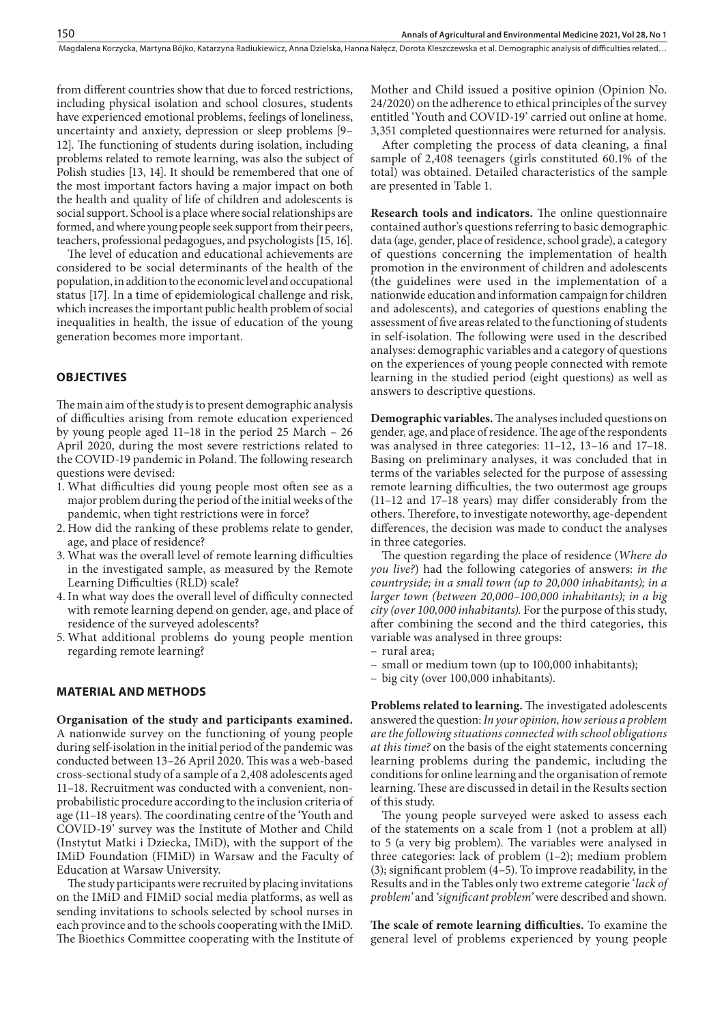from different countries show that due to forced restrictions, including physical isolation and school closures, students have experienced emotional problems, feelings of loneliness, uncertainty and anxiety, depression or sleep problems [9– 12]. The functioning of students during isolation, including problems related to remote learning, was also the subject of Polish studies [13, 14]. It should be remembered that one of the most important factors having a major impact on both the health and quality of life of children and adolescents is social support. School is a place where social relationships are formed, and where young people seek support from their peers, teachers, professional pedagogues, and psychologists [15, 16].

The level of education and educational achievements are considered to be social determinants of the health of the population, in addition to the economic level and occupational status [17]. In a time of epidemiological challenge and risk, which increases the important public health problem of social inequalities in health, the issue of education of the young generation becomes more important.

# **OBJECTIVES**

The main aim of the study is to present demographic analysis of difficulties arising from remote education experienced by young people aged 11–18 in the period 25 March – 26 April 2020, during the most severe restrictions related to the COVID-19 pandemic in Poland. The following research questions were devised:

- 1. What difficulties did young people most often see as a major problem during the period of the initial weeks of the pandemic, when tight restrictions were in force?
- 2. How did the ranking of these problems relate to gender, age, and place of residence?
- 3. What was the overall level of remote learning difficulties in the investigated sample, as measured by the Remote Learning Difficulties (RLD) scale?
- 4. In what way does the overall level of difficulty connected with remote learning depend on gender, age, and place of residence of the surveyed adolescents?
- 5. What additional problems do young people mention regarding remote learning?

## **MATERIAL AND METHODS**

**Organisation of the study and participants examined.**  A nationwide survey on the functioning of young people during self-isolation in the initial period of the pandemic was conducted between 13–26 April 2020. This was a web-based cross-sectional study of a sample of a 2,408 adolescents aged 11–18. Recruitment was conducted with a convenient, nonprobabilistic procedure according to the inclusion criteria of age (11–18 years). The coordinating centre of the 'Youth and COVID-19' survey was the Institute of Mother and Child (Instytut Matki i Dziecka, IMiD), with the support of the IMiD Foundation (FIMiD) in Warsaw and the Faculty of Education at Warsaw University.

The study participants were recruited by placing invitations on the IMiD and FIMiD social media platforms, as well as sending invitations to schools selected by school nurses in each province and to the schools cooperating with the IMiD. The Bioethics Committee cooperating with the Institute of Mother and Child issued a positive opinion (Opinion No. 24/2020) on the adherence to ethical principles of the survey entitled 'Youth and COVID-19' carried out online at home. 3,351 completed questionnaires were returned for analysis.

After completing the process of data cleaning, a final sample of 2,408 teenagers (girls constituted 60.1% of the total) was obtained. Detailed characteristics of the sample are presented in Table 1.

**Research tools and indicators.** The online questionnaire contained author's questions referring to basic demographic data (age, gender, place of residence, school grade), a category of questions concerning the implementation of health promotion in the environment of children and adolescents (the guidelines were used in the implementation of a nationwide education and information campaign for children and adolescents), and categories of questions enabling the assessment of five areas related to the functioning of students in self-isolation. The following were used in the described analyses: demographic variables and a category of questions on the experiences of young people connected with remote learning in the studied period (eight questions) as well as answers to descriptive questions.

**Demographic variables.** The analyses included questions on gender*,* age, and place of residence. The age of the respondents was analysed in three categories: 11–12, 13–16 and 17–18. Basing on preliminary analyses, it was concluded that in terms of the variables selected for the purpose of assessing remote learning difficulties, the two outermost age groups (11–12 and 17–18 years) may differ considerably from the others. Therefore, to investigate noteworthy, age-dependent differences, the decision was made to conduct the analyses in three categories.

The question regarding the place of residence (*Where do you live?*) had the following categories of answers: *in the countryside; in a small town (up to 20,000 inhabitants); in a larger town (between 20,000–100,000 inhabitants); in a big city (over 100,000 inhabitants).* For the purpose of this study, after combining the second and the third categories, this variable was analysed in three groups:

- rural area;
- small or medium town (up to 100,000 inhabitants);
- big city (over 100,000 inhabitants).

**Problems related to learning.** The investigated adolescents answered the question: *In your opinion, how serious a problem are the following situations connected with school obligations at this time?* on the basis of the eight statements concerning learning problems during the pandemic, including the conditions for online learning and the organisation of remote learning. These are discussed in detail in the Results section of this study.

The young people surveyed were asked to assess each of the statements on a scale from 1 (not a problem at all) to 5 (a very big problem). The variables were analysed in three categories: lack of problem (1–2); medium problem (3); significant problem  $(4-5)$ . To improve readability, in the Results and in the Tables only two extreme categorie '*lack of problem'* and *'significant problem'* were described and shown*.*

**The scale of remote learning difficulties.** To examine the general level of problems experienced by young people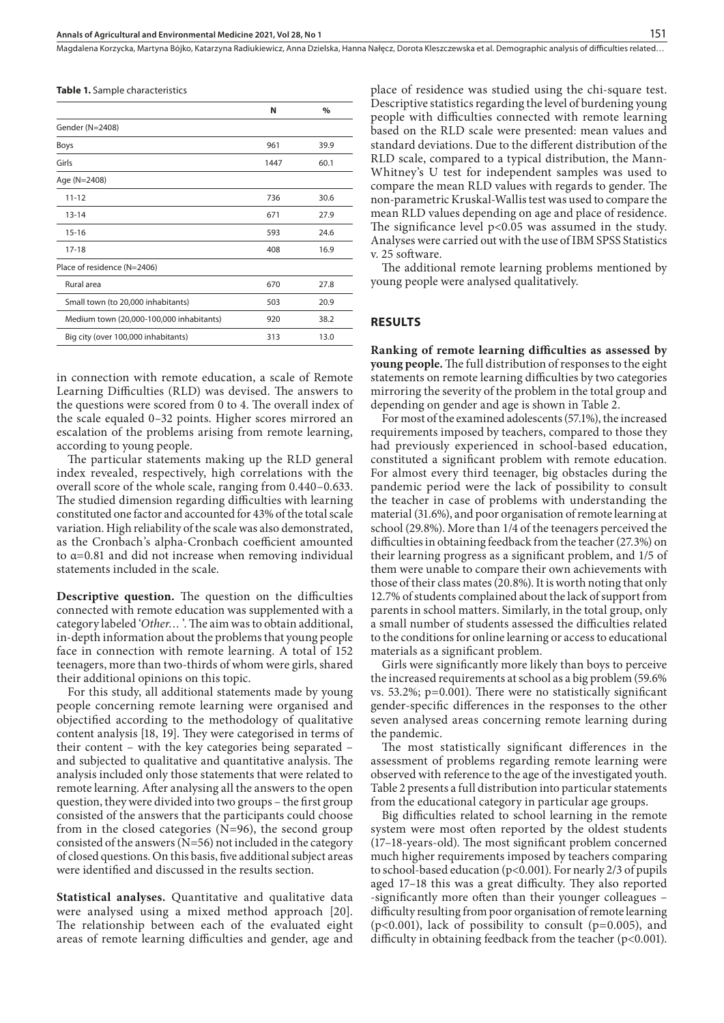**Table 1.** Sample characteristics

|                                          | N    | $\%$ |
|------------------------------------------|------|------|
| Gender (N=2408)                          |      |      |
| <b>Boys</b>                              | 961  | 39.9 |
| Girls                                    | 1447 | 60.1 |
| Age (N=2408)                             |      |      |
| $11 - 12$                                | 736  | 30.6 |
| $13 - 14$                                | 671  | 27.9 |
| $15 - 16$                                | 593  | 24.6 |
| $17 - 18$                                | 408  | 16.9 |
| Place of residence (N=2406)              |      |      |
| Rural area                               | 670  | 27.8 |
| Small town (to 20,000 inhabitants)       | 503  | 20.9 |
| Medium town (20,000-100,000 inhabitants) | 920  | 38.2 |
| Big city (over 100,000 inhabitants)      | 313  | 13.0 |

in connection with remote education, a scale of Remote Learning Difficulties (RLD) was devised. The answers to the questions were scored from 0 to 4. The overall index of the scale equaled 0–32 points. Higher scores mirrored an escalation of the problems arising from remote learning, according to young people.

The particular statements making up the RLD general index revealed, respectively, high correlations with the overall score of the whole scale, ranging from 0.440–0.633. The studied dimension regarding difficulties with learning constituted one factor and accounted for 43% of the total scale variation. High reliability of the scale was also demonstrated, as the Cronbach's alpha-Cronbach coefficient amounted to α=0.81 and did not increase when removing individual statements included in the scale.

**Descriptive question.** The question on the difficulties connected with remote education was supplemented with a category labeled '*Other…* '. The aim was to obtain additional, in-depth information about the problems that young people face in connection with remote learning. A total of 152 teenagers, more than two-thirds of whom were girls, shared their additional opinions on this topic.

For this study, all additional statements made by young people concerning remote learning were organised and objectified according to the methodology of qualitative content analysis [18, 19]. They were categorised in terms of their content – with the key categories being separated – and subjected to qualitative and quantitative analysis. The analysis included only those statements that were related to remote learning. After analysing all the answers to the open question, they were divided into two groups – the first group consisted of the answers that the participants could choose from in the closed categories  $(N=96)$ , the second group consisted of the answers (N=56) not included in the category of closed questions. On this basis, five additional subject areas were identified and discussed in the results section.

**Statistical analyses.** Quantitative and qualitative data were analysed using a mixed method approach [20]. The relationship between each of the evaluated eight areas of remote learning difficulties and gender, age and

place of residence was studied using the chi-square test. Descriptive statistics regarding the level of burdening young people with difficulties connected with remote learning based on the RLD scale were presented: mean values and standard deviations. Due to the different distribution of the RLD scale, compared to a typical distribution, the Mann-Whitney's U test for independent samples was used to compare the mean RLD values with regards to gender. The non-parametric Kruskal-Wallis test was used to compare the mean RLD values depending on age and place of residence. The significance level p<0.05 was assumed in the study. Analyses were carried out with the use of IBM SPSS Statistics v. 25 software.

The additional remote learning problems mentioned by young people were analysed qualitatively.

#### **RESULTS**

**Ranking of remote learning difficulties as assessed by young people.** The full distribution of responses to the eight statements on remote learning difficulties by two categories mirroring the severity of the problem in the total group and depending on gender and age is shown in Table 2.

For most of the examined adolescents (57.1%), the increased requirements imposed by teachers, compared to those they had previously experienced in school-based education, constituted a significant problem with remote education. For almost every third teenager, big obstacles during the pandemic period were the lack of possibility to consult the teacher in case of problems with understanding the material (31.6%), and poor organisation of remote learning at school (29.8%). More than 1/4 of the teenagers perceived the difficulties in obtaining feedback from the teacher (27.3%) on their learning progress as a significant problem, and 1/5 of them were unable to compare their own achievements with those of their class mates (20.8%). It is worth noting that only 12.7% of students complained about the lack of support from parents in school matters. Similarly, in the total group, only a small number of students assessed the difficulties related to the conditions for online learning or access to educational materials as a significant problem.

Girls were significantly more likely than boys to perceive the increased requirements at school as a big problem (59.6% vs. 53.2%; p=0.001). There were no statistically significant gender-specific differences in the responses to the other seven analysed areas concerning remote learning during the pandemic.

The most statistically significant differences in the assessment of problems regarding remote learning were observed with reference to the age of the investigated youth. Table 2 presents a full distribution into particular statements from the educational category in particular age groups.

Big difficulties related to school learning in the remote system were most often reported by the oldest students (17–18-years-old). The most significant problem concerned much higher requirements imposed by teachers comparing to school-based education (p<0.001). For nearly 2/3 of pupils aged 17–18 this was a great difficulty. They also reported -significantly more often than their younger colleagues – difficulty resulting from poor organisation of remote learning (p<0.001), lack of possibility to consult (p=0.005), and difficulty in obtaining feedback from the teacher  $(p<0.001)$ .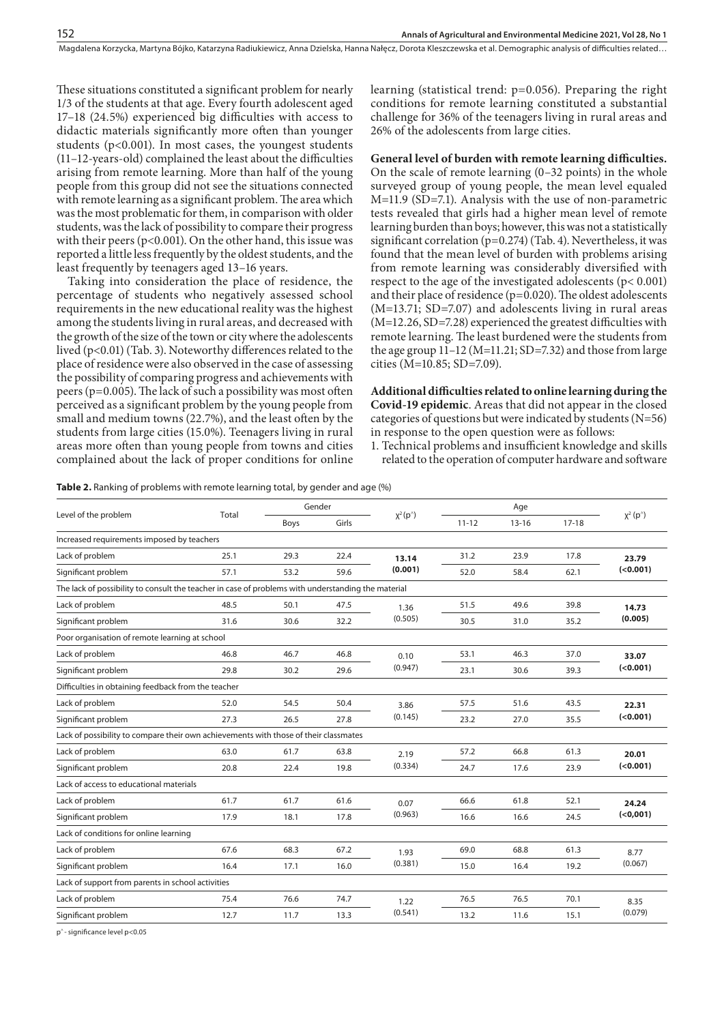These situations constituted a significant problem for nearly 1/3 of the students at that age. Every fourth adolescent aged 17–18 (24.5%) experienced big difficulties with access to didactic materials significantly more often than younger students ( $p<0.001$ ). In most cases, the youngest students (11–12-years-old) complained the least about the difficulties arising from remote learning. More than half of the young people from this group did not see the situations connected with remote learning as a significant problem. The area which was the most problematic for them, in comparison with older students, was the lack of possibility to compare their progress with their peers (p<0.001). On the other hand, this issue was reported a little less frequently by the oldest students, and the least frequently by teenagers aged 13–16 years.

Taking into consideration the place of residence, the percentage of students who negatively assessed school requirements in the new educational reality was the highest among the students living in rural areas, and decreased with the growth of the size of the town or city where the adolescents lived (p<0.01) (Tab. 3). Noteworthy differences related to the place of residence were also observed in the case of assessing the possibility of comparing progress and achievements with peers (p=0.005). The lack of such a possibility was most often perceived as a significant problem by the young people from small and medium towns (22.7%), and the least often by the students from large cities (15.0%). Teenagers living in rural areas more often than young people from towns and cities complained about the lack of proper conditions for online

learning (statistical trend: p=0.056). Preparing the right conditions for remote learning constituted a substantial challenge for 36% of the teenagers living in rural areas and 26% of the adolescents from large cities.

**General level of burden with remote learning difficulties.** On the scale of remote learning (0–32 points) in the whole surveyed group of young people, the mean level equaled M=11.9 (SD=7.1). Analysis with the use of non-parametric tests revealed that girls had a higher mean level of remote learning burden than boys; however, this was not a statistically significant correlation (p=0.274) (Tab. 4). Nevertheless, it was found that the mean level of burden with problems arising from remote learning was considerably diversified with respect to the age of the investigated adolescents (p< 0.001) and their place of residence (p=0.020). The oldest adolescents (M=13.71; SD=7.07) and adolescents living in rural areas (M=12.26, SD=7.28) experienced the greatest difficulties with remote learning. The least burdened were the students from the age group 11–12 (M=11.21; SD=7.32) and those from large cities (M=10.85; SD=7.09).

**Additional difficulties related to online learning during the Covid-19 epidemic**. Areas that did not appear in the closed categories of questions but were indicated by students (N=56) in response to the open question were as follows:

1. Technical problems and insufficient knowledge and skills related to the operation of computer hardware and software

**Table 2.** Ranking of problems with remote learning total, by gender and age (%)

| Level of the problem                                                                                                                        |       |      | Gender |                      | Age       |           |         |                                   |
|---------------------------------------------------------------------------------------------------------------------------------------------|-------|------|--------|----------------------|-----------|-----------|---------|-----------------------------------|
|                                                                                                                                             | Total | Boys | Girls  | $\chi^2(p^{\wedge})$ | $11 - 12$ | $13 - 16$ | $17-18$ | $\chi^2(p^{\wedge})$              |
| Increased requirements imposed by teachers                                                                                                  |       |      |        |                      |           |           |         |                                   |
| Lack of problem                                                                                                                             | 25.1  | 29.3 | 22.4   | 13.14<br>(0.001)     | 31.2      | 23.9      | 17.8    | 23.79                             |
| Significant problem                                                                                                                         | 57.1  | 53.2 | 59.6   |                      | 52.0      | 58.4      | 62.1    | $(0.001)$                         |
| The lack of possibility to consult the teacher in case of problems with understanding the material                                          |       |      |        |                      |           |           |         |                                   |
| Lack of problem                                                                                                                             | 48.5  | 50.1 | 47.5   | 1.36<br>(0.505)      | 51.5      | 49.6      | 39.8    | 14.73<br>(0.005)                  |
| Significant problem                                                                                                                         | 31.6  | 30.6 | 32.2   |                      | 30.5      | 31.0      | 35.2    |                                   |
| Poor organisation of remote learning at school                                                                                              |       |      |        |                      |           |           |         |                                   |
| Lack of problem                                                                                                                             | 46.8  | 46.7 | 46.8   | 0.10<br>(0.947)      | 53.1      | 46.3      | 37.0    | 33.07                             |
| Significant problem                                                                                                                         | 29.8  | 30.2 | 29.6   |                      | 23.1      | 30.6      | 39.3    | $(0.001)$                         |
| Difficulties in obtaining feedback from the teacher                                                                                         |       |      |        |                      |           |           |         |                                   |
| Lack of problem                                                                                                                             | 52.0  | 54.5 | 50.4   | 3.86<br>(0.145)      | 57.5      | 51.6      | 43.5    | 22.31<br>$(0.001)$                |
| Significant problem                                                                                                                         | 27.3  | 26.5 | 27.8   |                      | 23.2      | 27.0      | 35.5    |                                   |
| Lack of possibility to compare their own achievements with those of their classmates                                                        |       |      |        |                      |           |           |         |                                   |
| Lack of problem                                                                                                                             | 63.0  | 61.7 | 63.8   | 2.19<br>(0.334)      | 57.2      | 66.8      | 61.3    | 20.01                             |
| Significant problem                                                                                                                         | 20.8  | 22.4 | 19.8   |                      | 24.7      | 17.6      | 23.9    | $(0.001)$                         |
| Lack of access to educational materials                                                                                                     |       |      |        |                      |           |           |         |                                   |
| Lack of problem                                                                                                                             | 61.7  | 61.7 | 61.6   | 0.07<br>(0.963)      | 66.6      | 61.8      | 52.1    | 24.24                             |
| Significant problem                                                                                                                         | 17.9  | 18.1 | 17.8   |                      | 16.6      | 16.6      | 24.5    | ( <sub>0</sub> , <sub>001</sub> ) |
| Lack of conditions for online learning                                                                                                      |       |      |        |                      |           |           |         |                                   |
| Lack of problem                                                                                                                             | 67.6  | 68.3 | 67.2   | 1.93<br>(0.381)      | 69.0      | 68.8      | 61.3    | 8.77                              |
| Significant problem                                                                                                                         | 16.4  | 17.1 | 16.0   |                      | 15.0      | 16.4      | 19.2    | (0.067)                           |
| Lack of support from parents in school activities                                                                                           |       |      |        |                      |           |           |         |                                   |
| Lack of problem                                                                                                                             | 75.4  | 76.6 | 74.7   | 1.22<br>(0.541)      | 76.5      | 76.5      | 70.1    | 8.35                              |
| Significant problem                                                                                                                         | 12.7  | 11.7 | 13.3   |                      | 13.2      | 11.6      | 15.1    | (0.079)                           |
| $\frac{1}{2}$ and $\frac{1}{2}$ and $\frac{1}{2}$ and $\frac{1}{2}$ and $\frac{1}{2}$ and $\frac{1}{2}$ and $\frac{1}{2}$ and $\frac{1}{2}$ |       |      |        |                      |           |           |         |                                   |

p^ - significance level p<0.05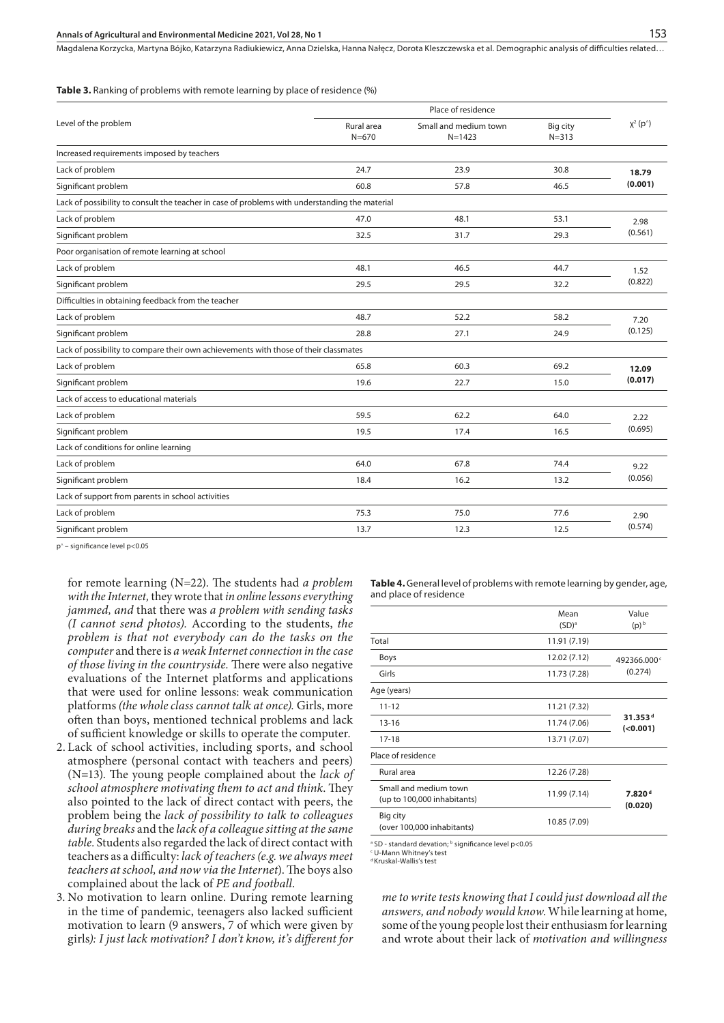#### **Annals of Agricultural and Environmental Medicine 2021, Vol 28, No 1** 153

Magdalena Korzycka, Martyna Bójko, Katarzyna Radiukiewicz, Anna Dzielska, Hanna Nałęcz, Dorota Kleszczewska et al. Demographic analysis of difficulties related…

**Table 3.** Ranking of problems with remote learning by place of residence (%)

|                                                                                                | Place of residence                                             |      |                       |                      |
|------------------------------------------------------------------------------------------------|----------------------------------------------------------------|------|-----------------------|----------------------|
| Level of the problem                                                                           | Rural area<br>Small and medium town<br>$N = 670$<br>$N = 1423$ |      | Big city<br>$N = 313$ | $\chi^2(p^{\wedge})$ |
| Increased requirements imposed by teachers                                                     |                                                                |      |                       |                      |
| Lack of problem                                                                                | 24.7                                                           | 23.9 | 30.8                  | 18.79                |
| Significant problem                                                                            | 60.8                                                           | 57.8 | 46.5                  | (0.001)              |
| Lack of possibility to consult the teacher in case of problems with understanding the material |                                                                |      |                       |                      |
| Lack of problem                                                                                | 47.0                                                           | 48.1 | 53.1                  | 2.98<br>(0.561)      |
| Significant problem                                                                            | 32.5                                                           | 31.7 | 29.3                  |                      |
| Poor organisation of remote learning at school                                                 |                                                                |      |                       |                      |
| Lack of problem                                                                                | 48.1                                                           | 46.5 | 44.7                  | 1.52                 |
| Significant problem                                                                            | 29.5                                                           | 29.5 | 32.2                  | (0.822)              |
| Difficulties in obtaining feedback from the teacher                                            |                                                                |      |                       |                      |
| Lack of problem                                                                                | 48.7                                                           | 52.2 | 58.2                  | 7.20<br>(0.125)      |
| Significant problem                                                                            | 28.8                                                           | 27.1 | 24.9                  |                      |
| Lack of possibility to compare their own achievements with those of their classmates           |                                                                |      |                       |                      |
| Lack of problem                                                                                | 65.8                                                           | 60.3 | 69.2                  | 12.09<br>(0.017)     |
| Significant problem                                                                            | 19.6                                                           | 22.7 | 15.0                  |                      |
| Lack of access to educational materials                                                        |                                                                |      |                       |                      |
| Lack of problem                                                                                | 59.5                                                           | 62.2 | 64.0                  | 2.22<br>(0.695)      |
| Significant problem                                                                            | 19.5                                                           | 17.4 | 16.5                  |                      |
| Lack of conditions for online learning                                                         |                                                                |      |                       |                      |
| Lack of problem                                                                                | 64.0                                                           | 67.8 | 74.4                  | 9.22<br>(0.056)      |
| Significant problem                                                                            | 18.4                                                           | 16.2 | 13.2                  |                      |
| Lack of support from parents in school activities                                              |                                                                |      |                       |                      |
| Lack of problem                                                                                | 75.3                                                           | 75.0 | 77.6                  | 2.90<br>(0.574)      |
| Significant problem                                                                            | 13.7                                                           | 12.3 | 12.5                  |                      |

p^ – significance level p<0.05

for remote learning (N=22). The students had *a problem with the Internet,* they wrote that *in online lessons everything jammed, and* that there was *a problem with sending tasks (I cannot send photos).* According to the students, *the problem is that not everybody can do the tasks on the computer* and there is *a weak Internet connection in the case of those living in the countryside.* There were also negative evaluations of the Internet platforms and applications that were used for online lessons: weak communication platforms *(the whole class cannot talk at once).* Girls, more often than boys, mentioned technical problems and lack of sufficient knowledge or skills to operate the computer.

- 2. Lack of school activities, including sports, and school atmosphere (personal contact with teachers and peers) (N=13). The young people complained about the *lack of school atmosphere motivating them to act and think*. They also pointed to the lack of direct contact with peers, the problem being the *lack of possibility to talk to colleagues during breaks* and the *lack of a colleague sitting at the same table.* Students also regarded the lack of direct contact with teachers as a difficulty: *lack of teachers (e.g. we always meet teachers at school, and now via the Internet*). The boys also complained about the lack of *PE and football*.
- 3. No motivation to learn online. During remote learning in the time of pandemic, teenagers also lacked sufficient motivation to learn (9 answers, 7 of which were given by girls*): I just lack motivation? I don't know, it's different for*

**Table 4.** General level of problems with remote learning by gender, age, and place of residence

|                                                      | Mean<br>$(SD)^a$ | Value<br>$(p)$ <sub>b</sub>      |  |
|------------------------------------------------------|------------------|----------------------------------|--|
| Total                                                | 11.91 (7.19)     |                                  |  |
| <b>Boys</b>                                          | 12.02 (7.12)     | 492366.000c<br>(0.274)           |  |
| Girls                                                | 11.73 (7.28)     |                                  |  |
| Age (years)                                          |                  |                                  |  |
| $11 - 12$                                            | 11.21 (7.32)     | 31.353 <sup>d</sup><br>$(0.001)$ |  |
| $13 - 16$                                            | 11.74 (7.06)     |                                  |  |
| $17-18$                                              | 13.71 (7.07)     |                                  |  |
| Place of residence                                   |                  |                                  |  |
| Rural area                                           | 12.26 (7.28)     |                                  |  |
| Small and medium town<br>(up to 100,000 inhabitants) | 11.99 (7.14)     | 7.820 <sup>d</sup><br>(0.020)    |  |
| Big city<br>(over 100,000 inhabitants)               | 10.85 (7.09)     |                                  |  |

<sup>a</sup> SD - standard devation; <sup>b</sup> significance level p<0.05<br>CLL-Mann Whitney's test

U-Mann Whitney's test

d Kruskal-Wallis's test

*me to write tests knowing that I could just download all the answers, and nobody would know*. While learning at home, some of the young people lost their enthusiasm for learning and wrote about their lack of *motivation and willingness*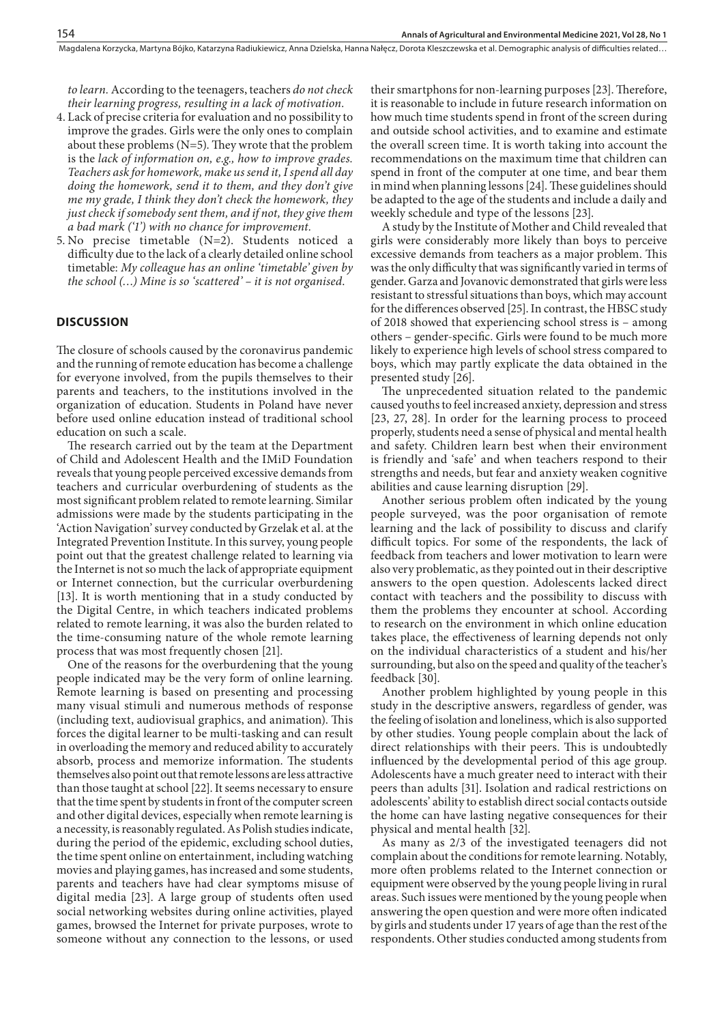*to learn.* According to the teenagers, teachers *do not check their learning progress, resulting in a lack of motivation.*

- 4. Lack of precise criteria for evaluation and no possibility to improve the grades. Girls were the only ones to complain about these problems (N=5). They wrote that the problem is the *lack of information on, e.g., how to improve grades. Teachers ask for homework, make us send it, I spend all day doing the homework, send it to them, and they don't give me my grade, I think they don't check the homework, they just check if somebody sent them, and if not, they give them a bad mark ('1') with no chance for improvement.*
- 5. No precise timetable (N=2). Students noticed a difficulty due to the lack of a clearly detailed online school timetable: *My colleague has an online 'timetable' given by the school (…) Mine is so 'scattered' – it is not organised*.

#### **DISCUSSION**

The closure of schools caused by the coronavirus pandemic and the running of remote education has become a challenge for everyone involved, from the pupils themselves to their parents and teachers, to the institutions involved in the organization of education. Students in Poland have never before used online education instead of traditional school education on such a scale.

The research carried out by the team at the Department of Child and Adolescent Health and the IMiD Foundation reveals that young people perceived excessive demands from teachers and curricular overburdening of students as the most significant problem related to remote learning. Similar admissions were made by the students participating in the 'Action Navigation' survey conducted by Grzelak et al. at the Integrated Prevention Institute. In this survey, young people point out that the greatest challenge related to learning via the Internet is not so much the lack of appropriate equipment or Internet connection, but the curricular overburdening [13]. It is worth mentioning that in a study conducted by the Digital Centre, in which teachers indicated problems related to remote learning, it was also the burden related to the time-consuming nature of the whole remote learning process that was most frequently chosen [21].

One of the reasons for the overburdening that the young people indicated may be the very form of online learning. Remote learning is based on presenting and processing many visual stimuli and numerous methods of response (including text, audiovisual graphics, and animation). This forces the digital learner to be multi-tasking and can result in overloading the memory and reduced ability to accurately absorb, process and memorize information. The students themselves also point out that remote lessons are less attractive than those taught at school [22]. It seems necessary to ensure that the time spent by students in front of the computer screen and other digital devices, especially when remote learning is a necessity, is reasonably regulated. As Polish studies indicate, during the period of the epidemic, excluding school duties, the time spent online on entertainment, including watching movies and playing games, has increased and some students, parents and teachers have had clear symptoms misuse of digital media [23]. A large group of students often used social networking websites during online activities, played games, browsed the Internet for private purposes, wrote to someone without any connection to the lessons, or used

their smartphons for non-learning purposes [23]. Therefore, it is reasonable to include in future research information on how much time students spend in front of the screen during and outside school activities, and to examine and estimate the overall screen time. It is worth taking into account the recommendations on the maximum time that children can spend in front of the computer at one time, and bear them in mind when planning lessons [24]. These guidelines should be adapted to the age of the students and include a daily and weekly schedule and type of the lessons [23].

A study by the Institute of Mother and Child revealed that girls were considerably more likely than boys to perceive excessive demands from teachers as a major problem. This was the only difficulty that was significantly varied in terms of gender. Garza and Jovanovic demonstrated that girls were less resistant to stressful situations than boys, which may account for the differences observed [25]. In contrast, the HBSC study of 2018 showed that experiencing school stress is – among others – gender-specific. Girls were found to be much more likely to experience high levels of school stress compared to boys, which may partly explicate the data obtained in the presented study [26].

The unprecedented situation related to the pandemic caused youths to feel increased anxiety, depression and stress [23, 27, 28]. In order for the learning process to proceed properly, students need a sense of physical and mental health and safety. Children learn best when their environment is friendly and 'safe' and when teachers respond to their strengths and needs, but fear and anxiety weaken cognitive abilities and cause learning disruption [29].

Another serious problem often indicated by the young people surveyed, was the poor organisation of remote learning and the lack of possibility to discuss and clarify difficult topics. For some of the respondents, the lack of feedback from teachers and lower motivation to learn were also very problematic, as they pointed out in their descriptive answers to the open question. Adolescents lacked direct contact with teachers and the possibility to discuss with them the problems they encounter at school. According to research on the environment in which online education takes place, the effectiveness of learning depends not only on the individual characteristics of a student and his/her surrounding, but also on the speed and quality of the teacher's feedback [30].

Another problem highlighted by young people in this study in the descriptive answers, regardless of gender, was the feeling of isolation and loneliness, which is also supported by other studies. Young people complain about the lack of direct relationships with their peers. This is undoubtedly influenced by the developmental period of this age group. Adolescents have a much greater need to interact with their peers than adults [31]. Isolation and radical restrictions on adolescents' ability to establish direct social contacts outside the home can have lasting negative consequences for their physical and mental health [32].

As many as 2/3 of the investigated teenagers did not complain about the conditions for remote learning. Notably, more often problems related to the Internet connection or equipment were observed by the young people living in rural areas. Such issues were mentioned by the young people when answering the open question and were more often indicated by girls and students under 17 years of age than the rest of the respondents. Other studies conducted among students from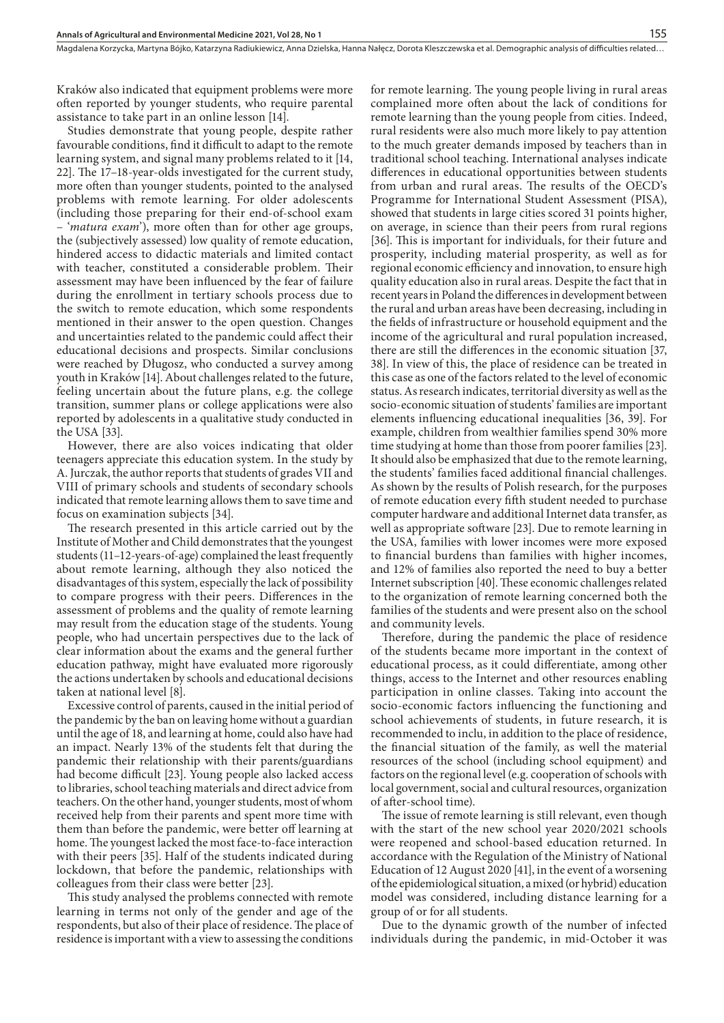Kraków also indicated that equipment problems were more often reported by younger students, who require parental assistance to take part in an online lesson [14].

Studies demonstrate that young people, despite rather favourable conditions, find it difficult to adapt to the remote learning system, and signal many problems related to it [14, 22]. The 17–18-year-olds investigated for the current study, more often than younger students, pointed to the analysed problems with remote learning. For older adolescents (including those preparing for their end-of-school exam – '*matura exam*'), more often than for other age groups, the (subjectively assessed) low quality of remote education, hindered access to didactic materials and limited contact with teacher, constituted a considerable problem. Their assessment may have been influenced by the fear of failure during the enrollment in tertiary schools process due to the switch to remote education, which some respondents mentioned in their answer to the open question. Changes and uncertainties related to the pandemic could affect their educational decisions and prospects. Similar conclusions were reached by Długosz, who conducted a survey among youth in Kraków [14]. About challenges related to the future, feeling uncertain about the future plans, e.g. the college transition, summer plans or college applications were also reported by adolescents in a qualitative study conducted in the USA [33].

However, there are also voices indicating that older teenagers appreciate this education system. In the study by A. Jurczak, the author reports that students of grades VII and VIII of primary schools and students of secondary schools indicated that remote learning allows them to save time and focus on examination subjects [34].

The research presented in this article carried out by the Institute of Mother and Child demonstrates that the youngest students (11–12-years-of-age) complained the least frequently about remote learning, although they also noticed the disadvantages of this system, especially the lack of possibility to compare progress with their peers. Differences in the assessment of problems and the quality of remote learning may result from the education stage of the students. Young people, who had uncertain perspectives due to the lack of clear information about the exams and the general further education pathway, might have evaluated more rigorously the actions undertaken by schools and educational decisions taken at national level [8].

Excessive control of parents, caused in the initial period of the pandemic by the ban on leaving home without a guardian until the age of 18, and learning at home, could also have had an impact. Nearly 13% of the students felt that during the pandemic their relationship with their parents/guardians had become difficult [23]. Young people also lacked access to libraries, school teaching materials and direct advice from teachers. On the other hand, younger students, most of whom received help from their parents and spent more time with them than before the pandemic, were better off learning at home. The youngest lacked the most face-to-face interaction with their peers [35]. Half of the students indicated during lockdown, that before the pandemic, relationships with colleagues from their class were better [23].

This study analysed the problems connected with remote learning in terms not only of the gender and age of the respondents, but also of their place of residence. The place of residence is important with a view to assessing the conditions for remote learning. The young people living in rural areas complained more often about the lack of conditions for remote learning than the young people from cities. Indeed, rural residents were also much more likely to pay attention to the much greater demands imposed by teachers than in traditional school teaching. International analyses indicate differences in educational opportunities between students from urban and rural areas. The results of the OECD's Programme for International Student Assessment (PISA), showed that students in large cities scored 31 points higher, on average, in science than their peers from rural regions [36]. This is important for individuals, for their future and prosperity, including material prosperity, as well as for regional economic efficiency and innovation, to ensure high quality education also in rural areas. Despite the fact that in recent years in Poland the differences in development between the rural and urban areas have been decreasing, including in the fields of infrastructure or household equipment and the income of the agricultural and rural population increased, there are still the differences in the economic situation [37, 38]. In view of this, the place of residence can be treated in this case as one of the factors related to the level of economic status. As research indicates, territorial diversity as well as the socio-economic situation of students' families are important elements influencing educational inequalities [36, 39]. For example, children from wealthier families spend 30% more time studying at home than those from poorer families [23]. It should also be emphasized that due to the remote learning, the students' families faced additional financial challenges. As shown by the results of Polish research, for the purposes of remote education every fifth student needed to purchase computer hardware and additional Internet data transfer, as well as appropriate software [23]. Due to remote learning in the USA, families with lower incomes were more exposed to financial burdens than families with higher incomes, and 12% of families also reported the need to buy a better Internet subscription [40]. These economic challenges related to the organization of remote learning concerned both the families of the students and were present also on the school and community levels.

Therefore, during the pandemic the place of residence of the students became more important in the context of educational process, as it could differentiate, among other things, access to the Internet and other resources enabling participation in online classes. Taking into account the socio-economic factors influencing the functioning and school achievements of students, in future research, it is recommended to inclu, in addition to the place of residence, the financial situation of the family, as well the material resources of the school (including school equipment) and factors on the regional level (e.g. cooperation of schools with local government, social and cultural resources, organization of after-school time).

The issue of remote learning is still relevant, even though with the start of the new school year 2020/2021 schools were reopened and school-based education returned. In accordance with the Regulation of the Ministry of National Education of 12 August 2020 [41], in the event of a worsening of the epidemiological situation, a mixed (or hybrid) education model was considered, including distance learning for a group of or for all students.

Due to the dynamic growth of the number of infected individuals during the pandemic, in mid-October it was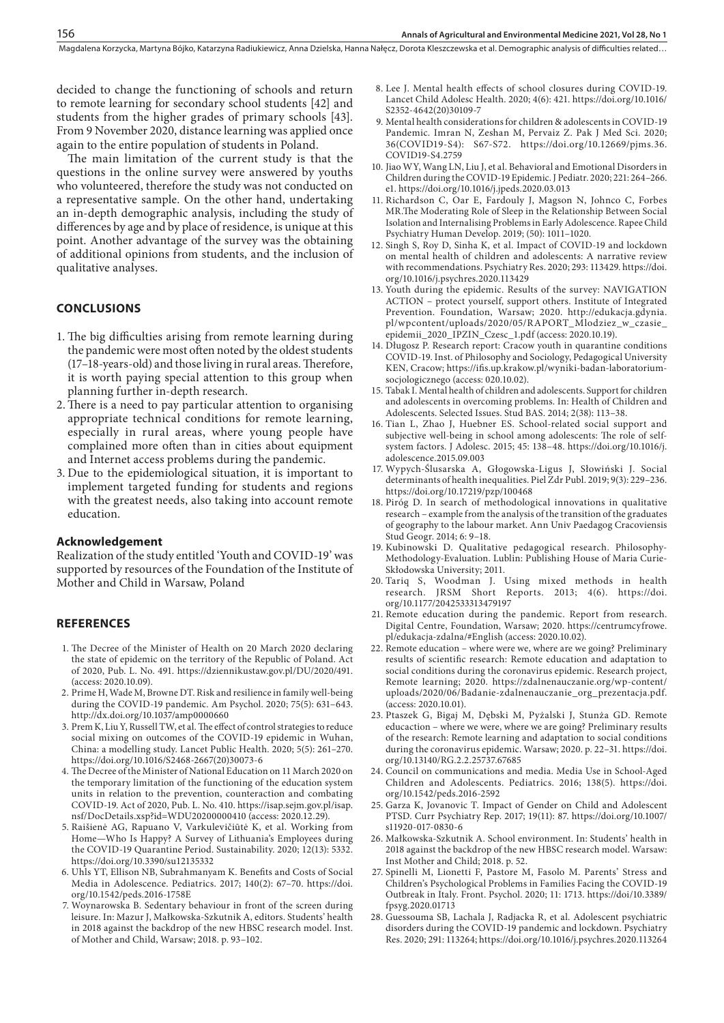decided to change the functioning of schools and return to remote learning for secondary school students [42] and students from the higher grades of primary schools [43]. From 9 November 2020, distance learning was applied once again to the entire population of students in Poland.

The main limitation of the current study is that the questions in the online survey were answered by youths who volunteered, therefore the study was not conducted on a representative sample. On the other hand, undertaking an in-depth demographic analysis, including the study of differences by age and by place of residence, is unique at this point. Another advantage of the survey was the obtaining of additional opinions from students, and the inclusion of qualitative analyses.

#### **CONCLUSIONS**

- 1. The big difficulties arising from remote learning during the pandemic were most often noted by the oldest students (17–18-years-old) and those living in rural areas. Therefore, it is worth paying special attention to this group when planning further in-depth research.
- 2.There is a need to pay particular attention to organising appropriate technical conditions for remote learning, especially in rural areas, where young people have complained more often than in cities about equipment and Internet access problems during the pandemic.
- 3. Due to the epidemiological situation, it is important to implement targeted funding for students and regions with the greatest needs, also taking into account remote education.

#### **Acknowledgement**

Realization of the study entitled 'Youth and COVID-19' was supported by resources of the Foundation of the Institute of Mother and Child in Warsaw, Poland

#### **REFERENCES**

- 1. The Decree of the Minister of Health on 20 March 2020 declaring the state of epidemic on the territory of the Republic of Poland. Act of 2020, Pub. L. No. 491. https://dziennikustaw.gov.pl/DU/2020/491. (access: 2020.10.09).
- 2. Prime H, Wade M, Browne DT. Risk and resilience in family well-being during the COVID-19 pandemic. Am Psychol. 2020; 75(5): 631–643. http://dx.doi.org/10.1037/amp0000660
- 3. Prem K, Liu Y, Russell TW, et al. The effect of control strategies to reduce social mixing on outcomes of the COVID-19 epidemic in Wuhan, China: a modelling study. Lancet Public Health. 2020; 5(5): 261–270. https://doi.org/10.1016/S2468-2667(20)30073-6
- 4. The Decree of the Minister of National Education on 11 March 2020 on the temporary limitation of the functioning of the education system units in relation to the prevention, counteraction and combating COVID-19. Act of 2020, Pub. L. No. 410. https://isap.sejm.gov.pl/isap. nsf/DocDetails.xsp?id=WDU20200000410 (access: 2020.12.29).
- 5. Raišienė AG, Rapuano V, Varkulevičiūtė K, et al. Working from Home—Who Is Happy? A Survey of Lithuania's Employees during the COVID-19 Quarantine Period. Sustainability. 2020; 12(13): 5332. https://doi.org/10.3390/su12135332
- 6. Uhls YT, Ellison NB, Subrahmanyam K. Benefits and Costs of Social Media in Adolescence. Pediatrics. 2017; 140(2): 67–70. https://doi. org/10.1542/peds.2016-1758E
- 7. Woynarowska B. Sedentary behaviour in front of the screen during leisure. In: Mazur J, Małkowska-Szkutnik A, editors. Students' health in 2018 against the backdrop of the new HBSC research model. Inst. of Mother and Child, Warsaw; 2018. p. 93–102.
- 8. Lee J. Mental health effects of school closures during COVID-19. Lancet Child Adolesc Health. 2020; 4(6): 421. https://doi.org/10.1016/ S2352-4642(20)30109-7
- 9. Mental health considerations for children & adolescents in COVID-19 Pandemic. Imran N, Zeshan M, Pervaiz Z. Pak J Med Sci. 2020; 36(COVID19-S4): S67-S72. https://doi.org/10.12669/pjms.36. COVID19-S4.2759
- 10. Jiao WY, Wang LN, Liu J, et al. Behavioral and Emotional Disorders in Children during the COVID-19 Epidemic. J Pediatr. 2020; 221: 264–266. e1. https://doi.org/10.1016/j.jpeds.2020.03.013
- 11. Richardson C, Oar E, Fardouly J, Magson N, Johnco C, Forbes MR.The Moderating Role of Sleep in the Relationship Between Social Isolation and Internalising Problems in Early Adolescence. Rapee Child Psychiatry Human Develop. 2019; (50): 1011–1020.
- 12. Singh S, Roy D, Sinha K, et al. Impact of COVID-19 and lockdown on mental health of children and adolescents: A narrative review with recommendations. Psychiatry Res. 2020; 293: 113429. https://doi. org/10.1016/j.psychres.2020.113429
- 13. Youth during the epidemic. Results of the survey: NAVIGATION ACTION – protect yourself, support others. Institute of Integrated Prevention. Foundation, Warsaw; 2020. http://edukacja.gdynia. pl/wpcontent/uploads/2020/05/RAPORT\_Mlodziez\_w\_czasie\_ epidemii\_2020\_IPZIN\_Czesc\_1.pdf (access: 2020.10.19).
- 14. Długosz P. Research report: Cracow youth in quarantine conditions COVID-19. Inst. of Philosophy and Sociology, Pedagogical University KEN, Cracow; https://ifis.up.krakow.pl/wyniki-badan-laboratoriumsocjologicznego (access: 020.10.02).
- 15. Tabak I. Mental health of children and adolescents. Support for children and adolescents in overcoming problems. In: Health of Children and Adolescents. Selected Issues. Stud BAS. 2014; 2(38): 113–38.
- 16. Tian L, Zhao J, Huebner ES. School-related social support and subjective well-being in school among adolescents: The role of selfsystem factors. J Adolesc. 2015; 45: 138–48. https://doi.org/10.1016/j. adolescence.2015.09.003
- 17. Wypych-Ślusarska A, Głogowska-Ligus J, Słowiński J. Social determinants of health inequalities. Piel Zdr Publ. 2019; 9(3): 229–236. https://doi.org/10.17219/pzp/100468
- 18. Piróg D. In search of methodological innovations in qualitative research – example from the analysis of the transition of the graduates of geography to the labour market. Ann Univ Paedagog Cracoviensis Stud Geogr. 2014; 6: 9–18.
- 19. Kubinowski D. Qualitative pedagogical research. Philosophy-Methodology-Evaluation. Lublin: Publishing House of Maria Curie-Skłodowska University; 2011.
- 20. Tariq S, Woodman J. Using mixed methods in health research. JRSM Short Reports. 2013; 4(6). https://doi. org/10.1177/2042533313479197
- 21. Remote education during the pandemic. Report from research. Digital Centre, Foundation, Warsaw; 2020. https://centrumcyfrowe. pl/edukacja-zdalna/#English (access: 2020.10.02).
- 22. Remote education where were we, where are we going? Preliminary results of scientific research: Remote education and adaptation to social conditions during the coronavirus epidemic. Research project, Remote learning; 2020. https://zdalnenauczanie.org/wp-content/ uploads/2020/06/Badanie-zdalnenauczanie\_org\_prezentacja.pdf. (access: 2020.10.01).
- 23. Ptaszek G, Bigaj M, Dębski M, Pyżalski J, Stunża GD. Remote educaction – where we were, where we are going? Preliminary results of the research: Remote learning and adaptation to social conditions during the coronavirus epidemic. Warsaw; 2020. p. 22–31. https://doi. org/10.13140/RG.2.2.25737.67685
- 24. Council on communications and media. Media Use in School-Aged Children and Adolescents. Pediatrics. 2016; 138(5). https://doi. org/10.1542/peds.2016-2592
- 25. Garza K, Jovanovic T. Impact of Gender on Child and Adolescent PTSD. Curr Psychiatry Rep. 2017; 19(11): 87. https://doi.org/10.1007/ s11920-017-0830-6
- 26. Małkowska-Szkutnik A. School environment. In: Students' health in 2018 against the backdrop of the new HBSC research model. Warsaw: Inst Mother and Child; 2018. p. 52.
- 27. Spinelli M, Lionetti F, Pastore M, Fasolo M. Parents' Stress and Children's Psychological Problems in Families Facing the COVID-19 Outbreak in Italy. Front. Psychol. 2020; 11: 1713. https://doi/10.3389/ fpsyg.2020.01713
- 28. Guessouma SB, Lachala J, Radjacka R, et al. Adolescent psychiatric disorders during the COVID-19 pandemic and lockdown. Psychiatry Res. 2020; 291: 113264; https://doi.org/10.1016/j.psychres.2020.113264